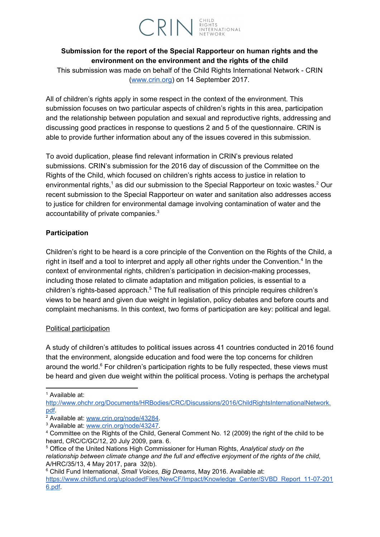# **CRIN** ENGHTS

## **Submission for the report of the Special Rapporteur on human rights and the environment on the environment and the rights of the child**

This submission was made on behalf of the Child Rights International Network - CRIN [\(www.crin.org\)](http://www.crin.org/) on 14 September 2017.

All of children's rights apply in some respect in the context of the environment. This submission focuses on two particular aspects of children's rights in this area, participation and the relationship between population and sexual and reproductive rights, addressing and discussing good practices in response to questions 2 and 5 of the questionnaire. CRIN is able to provide further information about any of the issues covered in this submission.

To avoid duplication, please find relevant information in CRIN's previous related submissions. CRIN's submission for the 2016 day of discussion of the Committee on the Rights of the Child, which focused on children's rights access to justice in relation to environmental rights,<sup>1</sup> as did our submission to the Special Rapporteur on toxic wastes.<sup>2</sup> Our recent submission to the Special Rapporteur on water and sanitation also addresses access to justice for children for environmental damage involving contamination of water and the accountability of private companies. $3$ 

### **Participation**

Children's right to be heard is a core principle of the Convention on the Rights of the Child, a right in itself and a tool to interpret and apply all other rights under the Convention.<sup>4</sup> In the context of environmental rights, children's participation in decision-making processes, including those related to climate adaptation and mitigation policies, is essential to a children's rights-based approach.<sup>5</sup> The full realisation of this principle requires children's views to be heard and given due weight in legislation, policy debates and before courts and complaint mechanisms. In this context, two forms of participation are key: political and legal.

#### Political participation

A study of children's attitudes to political issues across 41 countries conducted in 2016 found that the environment, alongside education and food were the top concerns for children around the world. $6$  For children's participation rights to be fully respected, these views must be heard and given due weight within the political process. Voting is perhaps the archetypal

<sup>6</sup> Child Fund International, *Small Voices, Big Dreams*, May 2016. Available at:

<sup>1</sup> Available at:

[http://www.ohchr.org/Documents/HRBodies/CRC/Discussions/2016/ChildRightsInternationalNetwork.](http://www.ohchr.org/Documents/HRBodies/CRC/Discussions/2016/ChildRightsInternationalNetwork.pdf) [pdf.](http://www.ohchr.org/Documents/HRBodies/CRC/Discussions/2016/ChildRightsInternationalNetwork.pdf)

<sup>&</sup>lt;sup>2</sup> Available at: [www.crin.org/node/43284.](http://www.crin.org/node/43284)

<sup>3</sup> Available at: [www.crin.org/node/43247.](http://www.crin.org/node/43247)

<sup>4</sup> Committee on the Rights of the Child, General Comment No. 12 (2009) the right of the child to be heard, CRC/C/GC/12, 20 July 2009, para. 6.

<sup>5</sup> Office of the United Nations High Commissioner for Human Rights, *Analytical study on the relationship between climate change and the full and effective enjoyment of the rights of the child*, A/HRC/35/13, 4 May 2017, para 32(b).

[https://www.childfund.org/uploadedFiles/NewCF/Impact/Knowledge\\_Center/SVBD\\_Report\\_11-07-201](https://www.childfund.org/uploadedFiles/NewCF/Impact/Knowledge_Center/SVBD_Report_11-07-2016.pdf) [6.pdf.](https://www.childfund.org/uploadedFiles/NewCF/Impact/Knowledge_Center/SVBD_Report_11-07-2016.pdf)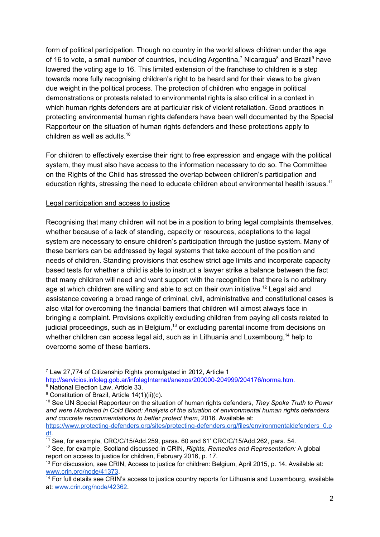form of political participation. Though no country in the world allows children under the age of 16 to vote, a small number of countries, including Argentina,<sup>7</sup> Nicaragua<sup>8</sup> and Brazil<sup>9</sup> have lowered the voting age to 16. This limited extension of the franchise to children is a step towards more fully recognising children's right to be heard and for their views to be given due weight in the political process. The protection of children who engage in political demonstrations or protests related to environmental rights is also critical in a context in which human rights defenders are at particular risk of violent retaliation. Good practices in protecting environmental human rights defenders have been well documented by the Special Rapporteur on the situation of human rights defenders and these protections apply to children as well as adults. 10

For children to effectively exercise their right to free expression and engage with the political system, they must also have access to the information necessary to do so. The Committee on the Rights of the Child has stressed the overlap between children's participation and education rights, stressing the need to educate children about environmental health issues.<sup>11</sup>

#### Legal participation and access to justice

Recognising that many children will not be in a position to bring legal complaints themselves, whether because of a lack of standing, capacity or resources, adaptations to the legal system are necessary to ensure children's participation through the justice system. Many of these barriers can be addressed by legal systems that take account of the position and needs of children. Standing provisions that eschew strict age limits and incorporate capacity based tests for whether a child is able to instruct a lawyer strike a balance between the fact that many children will need and want support with the recognition that there is no arbitrary age at which children are willing and able to act on their own initiative.<sup>12</sup> Legal aid and assistance covering a broad range of criminal, civil, administrative and constitutional cases is also vital for overcoming the financial barriers that children will almost always face in bringing a complaint. Provisions explicitly excluding children from paying all costs related to judicial proceedings, such as in Belgium, $^{13}$  or excluding parental income from decisions on whether children can access legal aid, such as in Lithuania and Luxembourg,<sup>14</sup> help to overcome some of these barriers.

<sup>7</sup> Law 27,774 of Citizenship Rights promulgated in 2012, Article 1

[http://servicios.infoleg.gob.ar/infolegInternet/anexos/200000-204999/204176/norma.htm.](http://servicios.infoleg.gob.ar/infolegInternet/anexos/200000-204999/204176/norma.htm)

<sup>8</sup> National Election Law, Article 33.

<sup>&</sup>lt;sup>9</sup> Constitution of Brazil, Article 14(1)(ii)(c).

<sup>10</sup> See UN Special Rapporteur on the situation of human rights defenders, *They Spoke Truth to Power and were Murdered in Cold Blood: Analysis of the situation of environmental human rights defenders and concrete recommendations to better protect them*, 2016. Available at:

[https://www.protecting-defenders.org/sites/protecting-defenders.org/files/environmentaldefenders\\_0.p](https://www.protecting-defenders.org/sites/protecting-defenders.org/files/environmentaldefenders_0.pdf) [df.](https://www.protecting-defenders.org/sites/protecting-defenders.org/files/environmentaldefenders_0.pdf)

<sup>11</sup> See, for example, CRC/C/15/Add.259, paras. 60 and 61' CRC/C/15/Add.262, para. 54.

<sup>12</sup> See, for example, Scotland discussed in CRIN, *Rights, Remedies and Representation:* A global report on access to justice for children, February 2016, p. 17.

<sup>&</sup>lt;sup>13</sup> For discussion, see CRIN, Access to justice for children: Belgium, April 2015, p. 14. Available at: [www.crin.org/node/41373.](http://www.crin.org/node/41373)

<sup>&</sup>lt;sup>14</sup> For full details see CRIN's access to justice country reports for Lithuania and Luxembourg, available at: [www.crin.org/node/42362.](http://www.crin.org/node/42362)